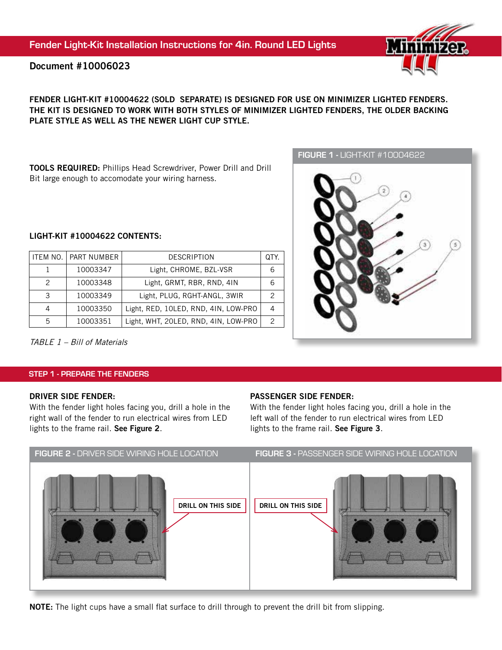# Document #10006023

## FENDER LIGHT-KIT #10004622 (SOLD SEPARATE) IS DESIGNED FOR USE ON MINIMIZER LIGHTED FENDERS. THE KIT IS DESIGNED TO WORK WITH BOTH STYLES OF MINIMIZER LIGHTED FENDERS, THE OLDER BACKING PLATE STYLE AS WELL AS THE NEWER LIGHT CUP STYLE.

TOOLS REQUIRED: Phillips Head Screwdriver, Power Drill and Drill Bit large enough to accomodate your wiring harness.

## LIGHT-KIT #10004622 CONTENTS:

|   | ITEM NO. I PART NUMBER | <b>DESCRIPTION</b>                   |  |
|---|------------------------|--------------------------------------|--|
|   | 10003347               | Light, CHROME, BZL-VSR               |  |
| 2 | 10003348               | Light, GRMT, RBR, RND, 4IN           |  |
| З | 10003349               | Light, PLUG, RGHT-ANGL, 3WIR         |  |
|   | 10003350               | Light, RED, 10LED, RND, 4IN, LOW-PRO |  |
|   | 10003351               | Light, WHT, 20LED, RND, 4IN, LOW-PRO |  |



TABLE 1 – Bill of Materials

#### STEP 1 - PREPARE THE FENDERS

#### DRIVER SIDE FENDER:

With the fender light holes facing you, drill a hole in the right wall of the fender to run electrical wires from LED lights to the frame rail. See Figure 2.

## PASSENGER SIDE FENDER:

With the fender light holes facing you, drill a hole in the left wall of the fender to run electrical wires from LED lights to the frame rail. See Figure 3.



NOTE: The light cups have a small flat surface to drill through to prevent the drill bit from slipping.